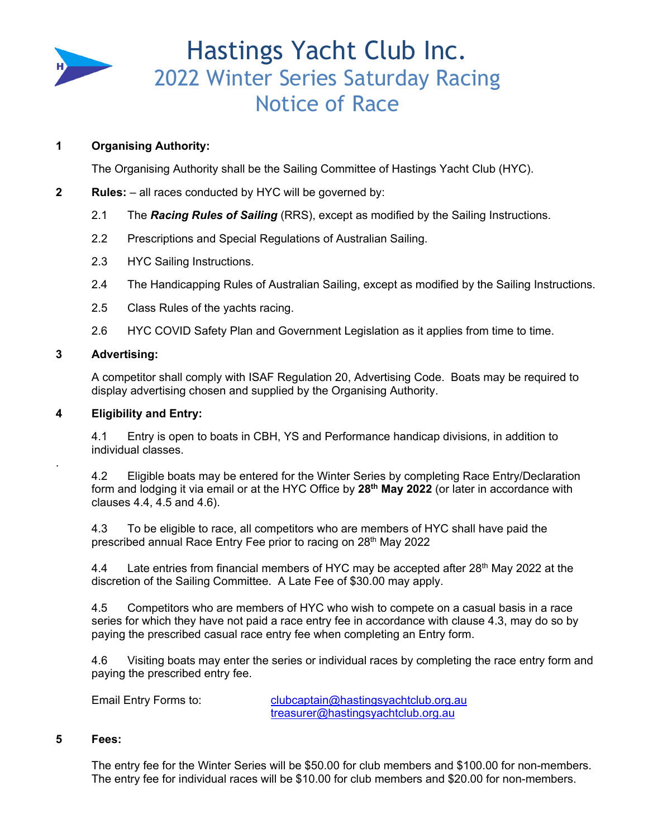

# Hastings Yacht Club Inc. 2022 Winter Series Saturday Racing Notice of Race

# **1 Organising Authority:**

The Organising Authority shall be the Sailing Committee of Hastings Yacht Club (HYC).

- **2** Rules: all races conducted by HYC will be governed by:
	- 2.1 The *Racing Rules of Sailing* (RRS), except as modified by the Sailing Instructions.
	- 2.2 Prescriptions and Special Regulations of Australian Sailing.
	- 2.3 HYC Sailing Instructions.
	- 2.4 The Handicapping Rules of Australian Sailing, except as modified by the Sailing Instructions.
	- 2.5 Class Rules of the yachts racing.
	- 2.6 HYC COVID Safety Plan and Government Legislation as it applies from time to time.

#### **3 Advertising:**

.

A competitor shall comply with ISAF Regulation 20, Advertising Code. Boats may be required to display advertising chosen and supplied by the Organising Authority.

### **4 Eligibility and Entry:**

4.1 Entry is open to boats in CBH, YS and Performance handicap divisions, in addition to individual classes.

4.2 Eligible boats may be entered for the Winter Series by completing Race Entry/Declaration form and lodging it via email or at the HYC Office by **28th May 2022** (or later in accordance with clauses 4.4, 4.5 and 4.6).

4.3 To be eligible to race, all competitors who are members of HYC shall have paid the prescribed annual Race Entry Fee prior to racing on 28<sup>th</sup> May 2022

4.4 Late entries from financial members of HYC may be accepted after  $28<sup>th</sup>$  May 2022 at the discretion of the Sailing Committee. A Late Fee of \$30.00 may apply.

4.5 Competitors who are members of HYC who wish to compete on a casual basis in a race series for which they have not paid a race entry fee in accordance with clause 4.3, may do so by paying the prescribed casual race entry fee when completing an Entry form.

4.6 Visiting boats may enter the series or individual races by completing the race entry form and paying the prescribed entry fee.

Email Entry Forms to: clubcaptain@hastingsyachtclub.org.au treasurer@hastingsyachtclub.org.au

#### **5 Fees:**

The entry fee for the Winter Series will be \$50.00 for club members and \$100.00 for non-members. The entry fee for individual races will be \$10.00 for club members and \$20.00 for non-members.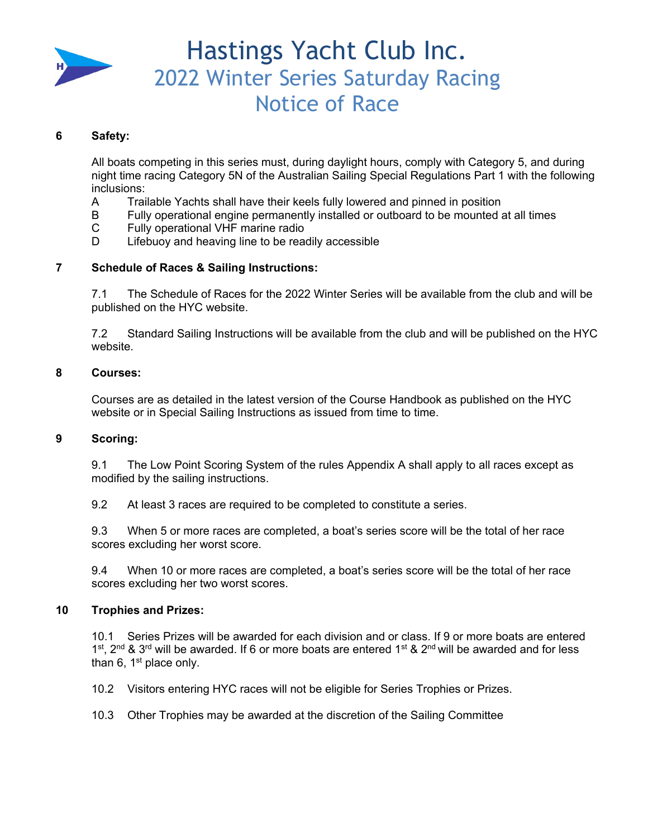

# Hastings Yacht Club Inc. 2022 Winter Series Saturday Racing Notice of Race

## **6 Safety:**

All boats competing in this series must, during daylight hours, comply with Category 5, and during night time racing Category 5N of the Australian Sailing Special Regulations Part 1 with the following inclusions:

- A Trailable Yachts shall have their keels fully lowered and pinned in position
- B Fully operational engine permanently installed or outboard to be mounted at all times
- C Fully operational VHF marine radio
- D Lifebuoy and heaving line to be readily accessible

## **7 Schedule of Races & Sailing Instructions:**

7.1 The Schedule of Races for the 2022 Winter Series will be available from the club and will be published on the HYC website.

7.2 Standard Sailing Instructions will be available from the club and will be published on the HYC website.

#### **8 Courses:**

Courses are as detailed in the latest version of the Course Handbook as published on the HYC website or in Special Sailing Instructions as issued from time to time.

#### **9 Scoring:**

9.1 The Low Point Scoring System of the rules Appendix A shall apply to all races except as modified by the sailing instructions.

9.2 At least 3 races are required to be completed to constitute a series.

9.3 When 5 or more races are completed, a boat's series score will be the total of her race scores excluding her worst score.

9.4 When 10 or more races are completed, a boat's series score will be the total of her race scores excluding her two worst scores.

#### **10 Trophies and Prizes:**

10.1 Series Prizes will be awarded for each division and or class. If 9 or more boats are entered 1st, 2<sup>nd</sup> & 3<sup>rd</sup> will be awarded. If 6 or more boats are entered 1st & 2<sup>nd</sup> will be awarded and for less than 6,  $1<sup>st</sup>$  place only.

10.2 Visitors entering HYC races will not be eligible for Series Trophies or Prizes.

10.3 Other Trophies may be awarded at the discretion of the Sailing Committee